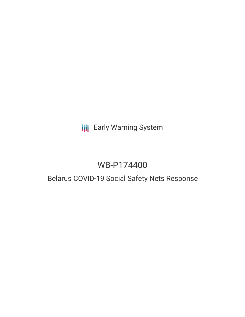# **III** Early Warning System

# WB-P174400

### Belarus COVID-19 Social Safety Nets Response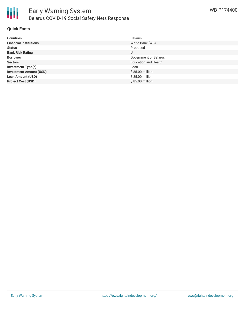

#### **Quick Facts**

| <b>Countries</b>               | Belarus                     |
|--------------------------------|-----------------------------|
| <b>Financial Institutions</b>  | World Bank (WB)             |
| <b>Status</b>                  | Proposed                    |
| <b>Bank Risk Rating</b>        | U                           |
| <b>Borrower</b>                | Government of Belarus       |
| <b>Sectors</b>                 | <b>Education and Health</b> |
| <b>Investment Type(s)</b>      | Loan                        |
| <b>Investment Amount (USD)</b> | \$85.00 million             |
| <b>Loan Amount (USD)</b>       | \$85.00 million             |
| <b>Project Cost (USD)</b>      | \$85.00 million             |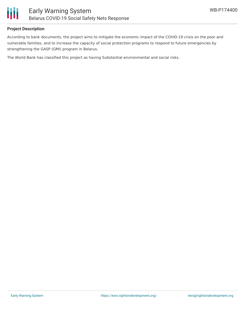

#### **Project Description**

According to bank documents, the project aims to mitigate the economic impact of the COVID-19 crisis on the poor and vulnerable families, and to increase the capacity of social protection programs to respond to future emergencies by strengthening the GASP (GMI) program in Belarus.

The World Bank has classified this project as having Substantial environmental and social risks.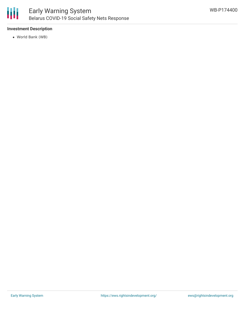

### **Investment Description**

World Bank (WB)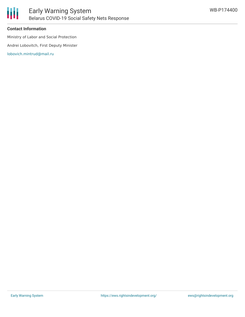

#### **Contact Information**

Ministry of Labor and Social Protection

Andrei Lobovitch, First Deputy Minister

[lobovich.mintrud@mail.ru](mailto:lobovich.mintrud@mail.ru)